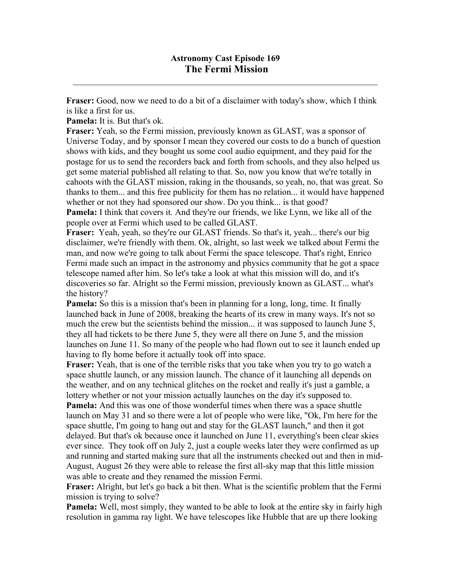$\mathcal{L}_\mathcal{L} = \mathcal{L}_\mathcal{L} = \mathcal{L}_\mathcal{L} = \mathcal{L}_\mathcal{L} = \mathcal{L}_\mathcal{L} = \mathcal{L}_\mathcal{L} = \mathcal{L}_\mathcal{L} = \mathcal{L}_\mathcal{L} = \mathcal{L}_\mathcal{L} = \mathcal{L}_\mathcal{L} = \mathcal{L}_\mathcal{L} = \mathcal{L}_\mathcal{L} = \mathcal{L}_\mathcal{L} = \mathcal{L}_\mathcal{L} = \mathcal{L}_\mathcal{L} = \mathcal{L}_\mathcal{L} = \mathcal{L}_\mathcal{L}$ 

**Fraser:** Good, now we need to do a bit of a disclaimer with today's show, which I think is like a first for us.

**Pamela:** It is. But that's ok.

**Fraser:** Yeah, so the Fermi mission, previously known as GLAST, was a sponsor of Universe Today, and by sponsor I mean they covered our costs to do a bunch of question shows with kids, and they bought us some cool audio equipment, and they paid for the postage for us to send the recorders back and forth from schools, and they also helped us get some material published all relating to that. So, now you know that we're totally in cahoots with the GLAST mission, raking in the thousands, so yeah, no, that was great. So thanks to them... and this free publicity for them has no relation... it would have happened whether or not they had sponsored our show. Do you think... is that good? **Pamela:** I think that covers it. And they're our friends, we like Lynn, we like all of the people over at Fermi which used to be called GLAST.

**Fraser:** Yeah, yeah, so they're our GLAST friends. So that's it, yeah... there's our big disclaimer, we're friendly with them. Ok, alright, so last week we talked about Fermi the man, and now we're going to talk about Fermi the space telescope. That's right, Enrico Fermi made such an impact in the astronomy and physics community that he got a space telescope named after him. So let's take a look at what this mission will do, and it's discoveries so far. Alright so the Fermi mission, previously known as GLAST... what's the history?

**Pamela:** So this is a mission that's been in planning for a long, long, time. It finally launched back in June of 2008, breaking the hearts of its crew in many ways. It's not so much the crew but the scientists behind the mission... it was supposed to launch June 5, they all had tickets to be there June 5, they were all there on June 5, and the mission launches on June 11. So many of the people who had flown out to see it launch ended up having to fly home before it actually took off into space.

**Fraser:** Yeah, that is one of the terrible risks that you take when you try to go watch a space shuttle launch, or any mission launch. The chance of it launching all depends on the weather, and on any technical glitches on the rocket and really it's just a gamble, a lottery whether or not your mission actually launches on the day it's supposed to. **Pamela:** And this was one of those wonderful times when there was a space shuttle

launch on May 31 and so there were a lot of people who were like, "Ok, I'm here for the space shuttle, I'm going to hang out and stay for the GLAST launch," and then it got delayed. But that's ok because once it launched on June 11, everything's been clear skies ever since. They took off on July 2, just a couple weeks later they were confirmed as up and running and started making sure that all the instruments checked out and then in mid-August, August 26 they were able to release the first all-sky map that this little mission was able to create and they renamed the mission Fermi.

**Fraser:** Alright, but let's go back a bit then. What is the scientific problem that the Fermi mission is trying to solve?

**Pamela:** Well, most simply, they wanted to be able to look at the entire sky in fairly high resolution in gamma ray light. We have telescopes like Hubble that are up there looking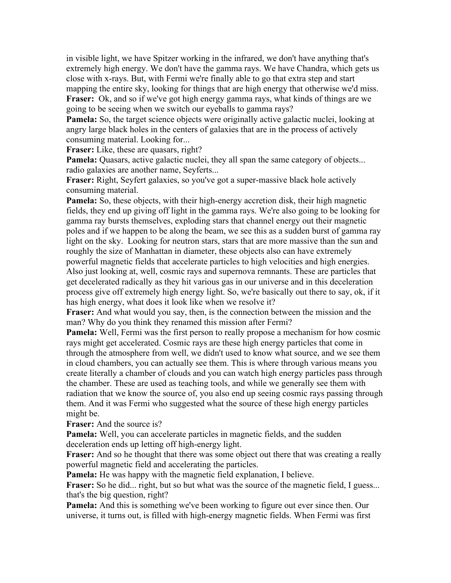in visible light, we have Spitzer working in the infrared, we don't have anything that's extremely high energy. We don't have the gamma rays. We have Chandra, which gets us close with x-rays. But, with Fermi we're finally able to go that extra step and start mapping the entire sky, looking for things that are high energy that otherwise we'd miss. **Fraser:** Ok, and so if we've got high energy gamma rays, what kinds of things are we going to be seeing when we switch our eyeballs to gamma rays?

**Pamela:** So, the target science objects were originally active galactic nuclei, looking at angry large black holes in the centers of galaxies that are in the process of actively consuming material. Looking for...

**Fraser:** Like, these are quasars, right?

**Pamela:** Quasars, active galactic nuclei, they all span the same category of objects... radio galaxies are another name, Seyferts...

**Fraser:** Right, Seyfert galaxies, so you've got a super-massive black hole actively consuming material.

**Pamela:** So, these objects, with their high-energy accretion disk, their high magnetic fields, they end up giving off light in the gamma rays. We're also going to be looking for gamma ray bursts themselves, exploding stars that channel energy out their magnetic poles and if we happen to be along the beam, we see this as a sudden burst of gamma ray light on the sky. Looking for neutron stars, stars that are more massive than the sun and roughly the size of Manhattan in diameter, these objects also can have extremely powerful magnetic fields that accelerate particles to high velocities and high energies. Also just looking at, well, cosmic rays and supernova remnants. These are particles that get decelerated radically as they hit various gas in our universe and in this deceleration process give off extremely high energy light. So, we're basically out there to say, ok, if it has high energy, what does it look like when we resolve it?

**Fraser:** And what would you say, then, is the connection between the mission and the man? Why do you think they renamed this mission after Fermi?

**Pamela:** Well, Fermi was the first person to really propose a mechanism for how cosmic rays might get accelerated. Cosmic rays are these high energy particles that come in through the atmosphere from well, we didn't used to know what source, and we see them in cloud chambers, you can actually see them. This is where through various means you create literally a chamber of clouds and you can watch high energy particles pass through the chamber. These are used as teaching tools, and while we generally see them with radiation that we know the source of, you also end up seeing cosmic rays passing through them. And it was Fermi who suggested what the source of these high energy particles might be.

**Fraser:** And the source is?

**Pamela:** Well, you can accelerate particles in magnetic fields, and the sudden deceleration ends up letting off high-energy light.

**Fraser:** And so he thought that there was some object out there that was creating a really powerful magnetic field and accelerating the particles.

**Pamela:** He was happy with the magnetic field explanation, I believe.

**Fraser:** So he did... right, but so but what was the source of the magnetic field, I guess... that's the big question, right?

**Pamela:** And this is something we've been working to figure out ever since then. Our universe, it turns out, is filled with high-energy magnetic fields. When Fermi was first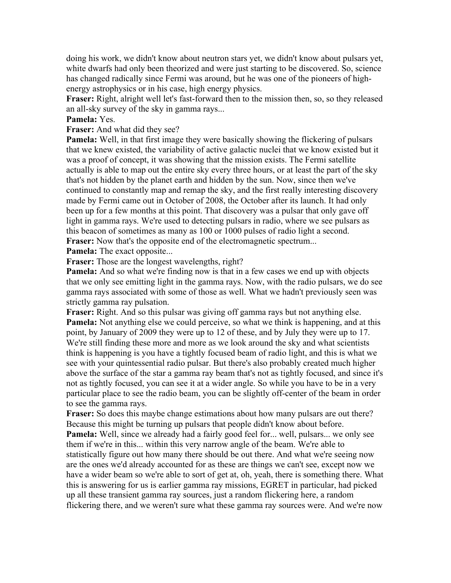doing his work, we didn't know about neutron stars yet, we didn't know about pulsars yet, white dwarfs had only been theorized and were just starting to be discovered. So, science has changed radically since Fermi was around, but he was one of the pioneers of highenergy astrophysics or in his case, high energy physics.

**Fraser:** Right, alright well let's fast-forward then to the mission then, so, so they released an all-sky survey of the sky in gamma rays...

## **Pamela:** Yes.

## **Fraser:** And what did they see?

**Pamela:** Well, in that first image they were basically showing the flickering of pulsars that we knew existed, the variability of active galactic nuclei that we know existed but it was a proof of concept, it was showing that the mission exists. The Fermi satellite actually is able to map out the entire sky every three hours, or at least the part of the sky that's not hidden by the planet earth and hidden by the sun. Now, since then we've continued to constantly map and remap the sky, and the first really interesting discovery made by Fermi came out in October of 2008, the October after its launch. It had only been up for a few months at this point. That discovery was a pulsar that only gave off light in gamma rays. We're used to detecting pulsars in radio, where we see pulsars as this beacon of sometimes as many as 100 or 1000 pulses of radio light a second. **Fraser:** Now that's the opposite end of the electromagnetic spectrum...

**Pamela:** The exact opposite...

**Fraser:** Those are the longest wavelengths, right?

**Pamela:** And so what we're finding now is that in a few cases we end up with objects that we only see emitting light in the gamma rays. Now, with the radio pulsars, we do see gamma rays associated with some of those as well. What we hadn't previously seen was strictly gamma ray pulsation.

**Fraser:** Right. And so this pulsar was giving off gamma rays but not anything else. **Pamela:** Not anything else we could perceive, so what we think is happening, and at this point, by January of 2009 they were up to 12 of these, and by July they were up to 17. We're still finding these more and more as we look around the sky and what scientists think is happening is you have a tightly focused beam of radio light, and this is what we see with your quintessential radio pulsar. But there's also probably created much higher above the surface of the star a gamma ray beam that's not as tightly focused, and since it's not as tightly focused, you can see it at a wider angle. So while you have to be in a very particular place to see the radio beam, you can be slightly off-center of the beam in order to see the gamma rays.

**Fraser:** So does this maybe change estimations about how many pulsars are out there? Because this might be turning up pulsars that people didn't know about before. **Pamela:** Well, since we already had a fairly good feel for... well, pulsars... we only see them if we're in this... within this very narrow angle of the beam. We're able to statistically figure out how many there should be out there. And what we're seeing now are the ones we'd already accounted for as these are things we can't see, except now we have a wider beam so we're able to sort of get at, oh, yeah, there is something there. What this is answering for us is earlier gamma ray missions, EGRET in particular, had picked up all these transient gamma ray sources, just a random flickering here, a random flickering there, and we weren't sure what these gamma ray sources were. And we're now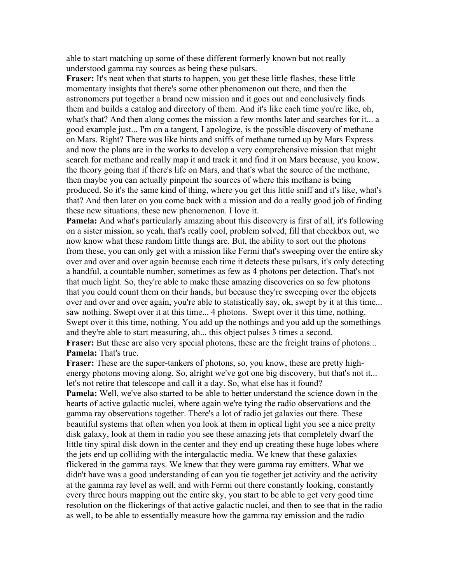able to start matching up some of these different formerly known but not really understood gamma ray sources as being these pulsars.

**Fraser:** It's neat when that starts to happen, you get these little flashes, these little momentary insights that there's some other phenomenon out there, and then the astronomers put together a brand new mission and it goes out and conclusively finds them and builds a catalog and directory of them. And it's like each time you're like, oh, what's that? And then along comes the mission a few months later and searches for it... a good example just... I'm on a tangent, I apologize, is the possible discovery of methane on Mars. Right? There was like hints and sniffs of methane turned up by Mars Express and now the plans are in the works to develop a very comprehensive mission that might search for methane and really map it and track it and find it on Mars because, you know, the theory going that if there's life on Mars, and that's what the source of the methane, then maybe you can actually pinpoint the sources of where this methane is being produced. So it's the same kind of thing, where you get this little sniff and it's like, what's that? And then later on you come back with a mission and do a really good job of finding these new situations, these new phenomenon. I love it.

**Pamela:** And what's particularly amazing about this discovery is first of all, it's following on a sister mission, so yeah, that's really cool, problem solved, fill that checkbox out, we now know what these random little things are. But, the ability to sort out the photons from these, you can only get with a mission like Fermi that's sweeping over the entire sky over and over and over again because each time it detects these pulsars, it's only detecting a handful, a countable number, sometimes as few as 4 photons per detection. That's not that much light. So, they're able to make these amazing discoveries on so few photons that you could count them on their hands, but because they're sweeping over the objects over and over and over again, you're able to statistically say, ok, swept by it at this time... saw nothing. Swept over it at this time... 4 photons. Swept over it this time, nothing. Swept over it this time, nothing. You add up the nothings and you add up the somethings and they're able to start measuring, ah... this object pulses 3 times a second. **Fraser:** But these are also very special photons, these are the freight trains of photons... **Pamela:** That's true.

**Fraser:** These are the super-tankers of photons, so, you know, these are pretty highenergy photons moving along. So, alright we've got one big discovery, but that's not it... let's not retire that telescope and call it a day. So, what else has it found? **Pamela:** Well, we've also started to be able to better understand the science down in the hearts of active galactic nuclei, where again we're tying the radio observations and the gamma ray observations together. There's a lot of radio jet galaxies out there. These beautiful systems that often when you look at them in optical light you see a nice pretty disk galaxy, look at them in radio you see these amazing jets that completely dwarf the little tiny spiral disk down in the center and they end up creating these huge lobes where the jets end up colliding with the intergalactic media. We knew that these galaxies flickered in the gamma rays. We knew that they were gamma ray emitters. What we didn't have was a good understanding of can you tie together jet activity and the activity at the gamma ray level as well, and with Fermi out there constantly looking, constantly every three hours mapping out the entire sky, you start to be able to get very good time resolution on the flickerings of that active galactic nuclei, and then to see that in the radio as well, to be able to essentially measure how the gamma ray emission and the radio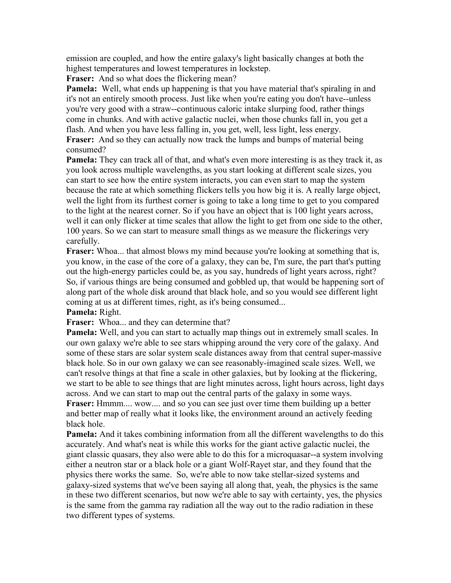emission are coupled, and how the entire galaxy's light basically changes at both the highest temperatures and lowest temperatures in lockstep.

**Fraser:** And so what does the flickering mean?

**Pamela:** Well, what ends up happening is that you have material that's spiraling in and it's not an entirely smooth process. Just like when you're eating you don't have--unless you're very good with a straw--continuous caloric intake slurping food, rather things come in chunks. And with active galactic nuclei, when those chunks fall in, you get a flash. And when you have less falling in, you get, well, less light, less energy.

**Fraser:** And so they can actually now track the lumps and bumps of material being consumed?

**Pamela:** They can track all of that, and what's even more interesting is as they track it, as you look across multiple wavelengths, as you start looking at different scale sizes, you can start to see how the entire system interacts, you can even start to map the system because the rate at which something flickers tells you how big it is. A really large object, well the light from its furthest corner is going to take a long time to get to you compared to the light at the nearest corner. So if you have an object that is 100 light years across, well it can only flicker at time scales that allow the light to get from one side to the other, 100 years. So we can start to measure small things as we measure the flickerings very carefully.

**Fraser:** Whoa... that almost blows my mind because you're looking at something that is, you know, in the case of the core of a galaxy, they can be, I'm sure, the part that's putting out the high-energy particles could be, as you say, hundreds of light years across, right? So, if various things are being consumed and gobbled up, that would be happening sort of along part of the whole disk around that black hole, and so you would see different light coming at us at different times, right, as it's being consumed...

## **Pamela:** Right.

**Fraser:** Whoa... and they can determine that?

**Pamela:** Well, and you can start to actually map things out in extremely small scales. In our own galaxy we're able to see stars whipping around the very core of the galaxy. And some of these stars are solar system scale distances away from that central super-massive black hole. So in our own galaxy we can see reasonably-imagined scale sizes. Well, we can't resolve things at that fine a scale in other galaxies, but by looking at the flickering, we start to be able to see things that are light minutes across, light hours across, light days across. And we can start to map out the central parts of the galaxy in some ways. **Fraser:** Hmmm.... wow.... and so you can see just over time them building up a better and better map of really what it looks like, the environment around an actively feeding black hole.

**Pamela:** And it takes combining information from all the different wavelengths to do this accurately. And what's neat is while this works for the giant active galactic nuclei, the giant classic quasars, they also were able to do this for a microquasar--a system involving either a neutron star or a black hole or a giant Wolf-Rayet star, and they found that the physics there works the same. So, we're able to now take stellar-sized systems and galaxy-sized systems that we've been saying all along that, yeah, the physics is the same in these two different scenarios, but now we're able to say with certainty, yes, the physics is the same from the gamma ray radiation all the way out to the radio radiation in these two different types of systems.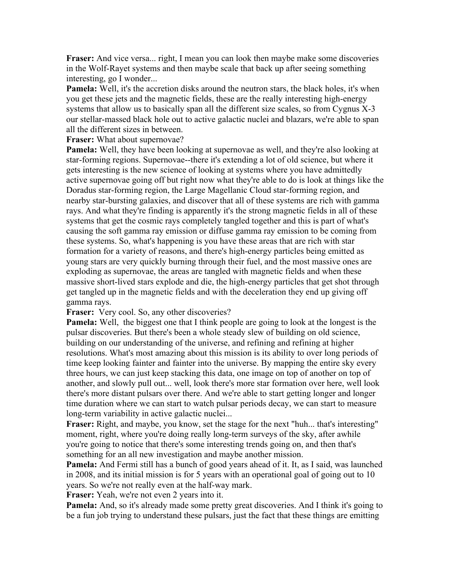**Fraser:** And vice versa... right, I mean you can look then maybe make some discoveries in the Wolf-Rayet systems and then maybe scale that back up after seeing something interesting, go I wonder...

**Pamela:** Well, it's the accretion disks around the neutron stars, the black holes, it's when you get these jets and the magnetic fields, these are the really interesting high-energy systems that allow us to basically span all the different size scales, so from Cygnus X-3 our stellar-massed black hole out to active galactic nuclei and blazars, we're able to span all the different sizes in between.

**Fraser:** What about supernovae?

**Pamela:** Well, they have been looking at supernovae as well, and they're also looking at star-forming regions. Supernovae--there it's extending a lot of old science, but where it gets interesting is the new science of looking at systems where you have admittedly active supernovae going off but right now what they're able to do is look at things like the Doradus star-forming region, the Large Magellanic Cloud star-forming region, and nearby star-bursting galaxies, and discover that all of these systems are rich with gamma rays. And what they're finding is apparently it's the strong magnetic fields in all of these systems that get the cosmic rays completely tangled together and this is part of what's causing the soft gamma ray emission or diffuse gamma ray emission to be coming from these systems. So, what's happening is you have these areas that are rich with star formation for a variety of reasons, and there's high-energy particles being emitted as young stars are very quickly burning through their fuel, and the most massive ones are exploding as supernovae, the areas are tangled with magnetic fields and when these massive short-lived stars explode and die, the high-energy particles that get shot through get tangled up in the magnetic fields and with the deceleration they end up giving off gamma rays.

**Fraser:** Very cool. So, any other discoveries?

**Pamela:** Well, the biggest one that I think people are going to look at the longest is the pulsar discoveries. But there's been a whole steady slew of building on old science, building on our understanding of the universe, and refining and refining at higher resolutions. What's most amazing about this mission is its ability to over long periods of time keep looking fainter and fainter into the universe. By mapping the entire sky every three hours, we can just keep stacking this data, one image on top of another on top of another, and slowly pull out... well, look there's more star formation over here, well look there's more distant pulsars over there. And we're able to start getting longer and longer time duration where we can start to watch pulsar periods decay, we can start to measure long-term variability in active galactic nuclei...

**Fraser:** Right, and maybe, you know, set the stage for the next "huh... that's interesting" moment, right, where you're doing really long-term surveys of the sky, after awhile you're going to notice that there's some interesting trends going on, and then that's something for an all new investigation and maybe another mission.

**Pamela:** And Fermi still has a bunch of good years ahead of it. It, as I said, was launched in 2008, and its initial mission is for 5 years with an operational goal of going out to 10 years. So we're not really even at the half-way mark.

**Fraser:** Yeah, we're not even 2 years into it.

**Pamela:** And, so it's already made some pretty great discoveries. And I think it's going to be a fun job trying to understand these pulsars, just the fact that these things are emitting